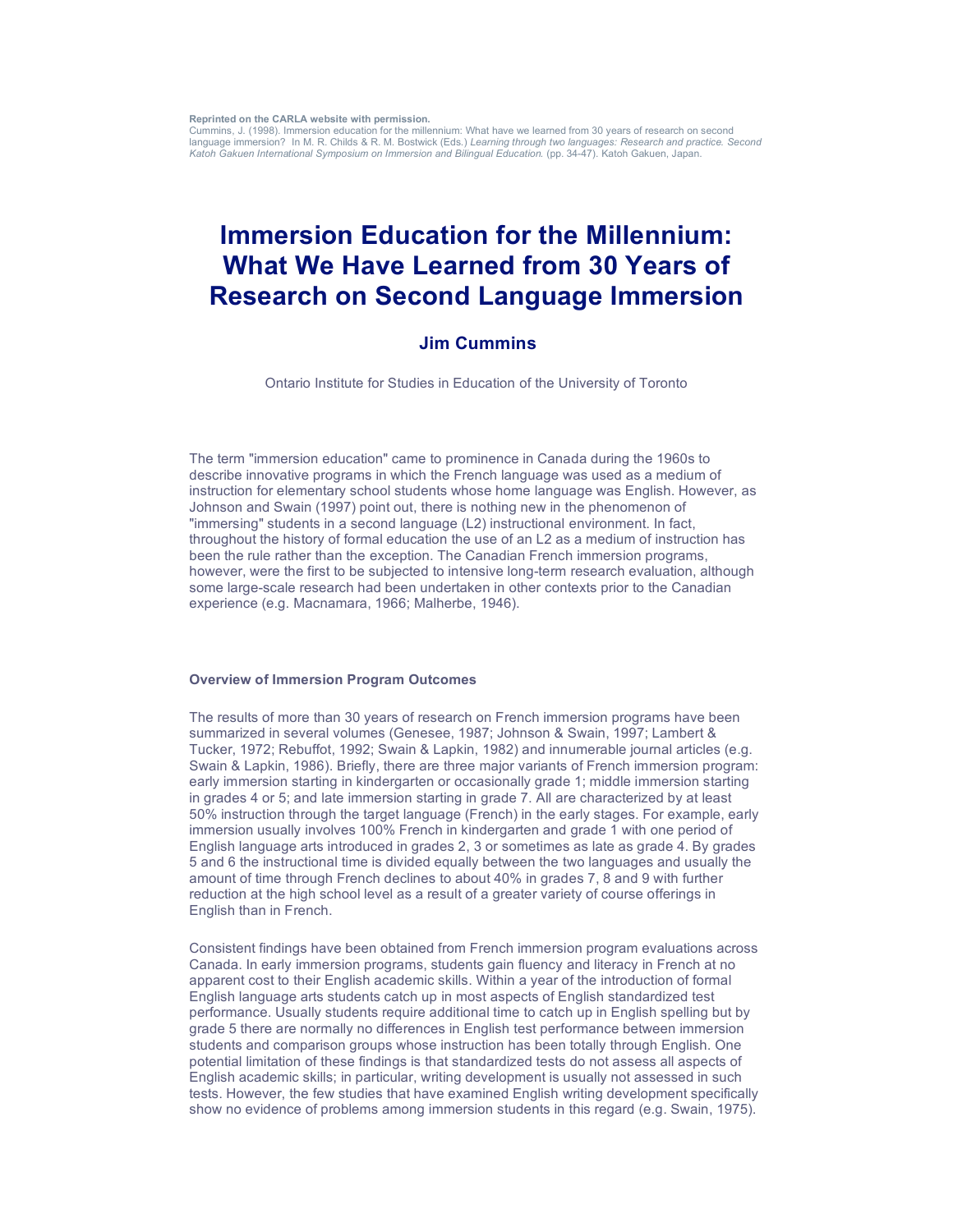**Reprinted on the CARLA website with permission.**

Cummins, J. (1998). Immersion education for the millennium: What have we learned from 30 years of research on second language immersion? In M. R. Childs & R. M. Bostwick (Eds.) *Learning through two languages: Research and practice. Second Katoh Gakuen International Symposium on Immersion and Bilingual Education.* (pp. 34-47). Katoh Gakuen, Japan.

# **Immersion Education for the Millennium: What We Have Learned from 30 Years of Research on Second Language Immersion**

## **Jim Cummins**

Ontario Institute for Studies in Education of the University of Toronto

The term "immersion education" came to prominence in Canada during the 1960s to describe innovative programs in which the French language was used as a medium of instruction for elementary school students whose home language was English. However, as Johnson and Swain (1997) point out, there is nothing new in the phenomenon of "immersing" students in a second language (L2) instructional environment. In fact, throughout the history of formal education the use of an L2 as a medium of instruction has been the rule rather than the exception. The Canadian French immersion programs, however, were the first to be subjected to intensive long-term research evaluation, although some large-scale research had been undertaken in other contexts prior to the Canadian experience (e.g. Macnamara, 1966; Malherbe, 1946).

#### **Overview of Immersion Program Outcomes**

The results of more than 30 years of research on French immersion programs have been summarized in several volumes (Genesee, 1987; Johnson & Swain, 1997; Lambert & Tucker, 1972; Rebuffot, 1992; Swain & Lapkin, 1982) and innumerable journal articles (e.g. Swain & Lapkin, 1986). Briefly, there are three major variants of French immersion program: early immersion starting in kindergarten or occasionally grade 1; middle immersion starting in grades 4 or 5; and late immersion starting in grade 7. All are characterized by at least 50% instruction through the target language (French) in the early stages. For example, early immersion usually involves 100% French in kindergarten and grade 1 with one period of English language arts introduced in grades 2, 3 or sometimes as late as grade 4. By grades 5 and 6 the instructional time is divided equally between the two languages and usually the amount of time through French declines to about 40% in grades 7, 8 and 9 with further reduction at the high school level as a result of a greater variety of course offerings in English than in French.

Consistent findings have been obtained from French immersion program evaluations across Canada. In early immersion programs, students gain fluency and literacy in French at no apparent cost to their English academic skills. Within a year of the introduction of formal English language arts students catch up in most aspects of English standardized test performance. Usually students require additional time to catch up in English spelling but by grade 5 there are normally no differences in English test performance between immersion students and comparison groups whose instruction has been totally through English. One potential limitation of these findings is that standardized tests do not assess all aspects of English academic skills; in particular, writing development is usually not assessed in such tests. However, the few studies that have examined English writing development specifically show no evidence of problems among immersion students in this regard (e.g. Swain, 1975).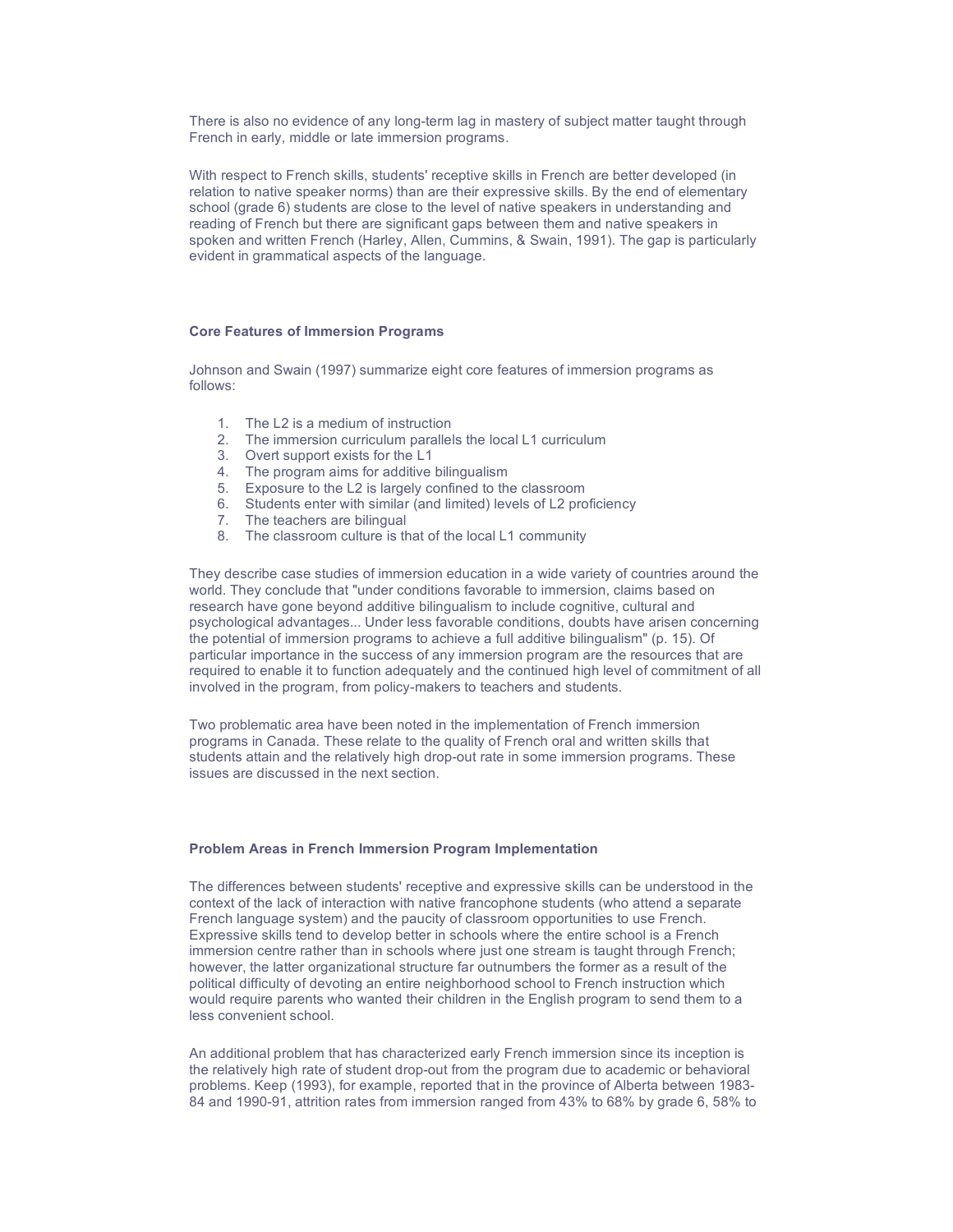There is also no evidence of any long-term lag in mastery of subject matter taught through French in early, middle or late immersion programs.

With respect to French skills, students' receptive skills in French are better developed (in relation to native speaker norms) than are their expressive skills. By the end of elementary school (grade 6) students are close to the level of native speakers in understanding and reading of French but there are significant gaps between them and native speakers in spoken and written French (Harley, Allen, Cummins, & Swain, 1991). The gap is particularly evident in grammatical aspects of the language.

## **Core Features of Immersion Programs**

Johnson and Swain (1997) summarize eight core features of immersion programs as follows:

- 1. The L2 is a medium of instruction
- 2. The immersion curriculum parallels the local L1 curriculum
- 3. Overt support exists for the L1
- 4. The program aims for additive bilingualism
- 5. Exposure to the L2 is largely confined to the classroom
- 6. Students enter with similar (and limited) levels of L2 proficiency
- 7. The teachers are bilingual
- 8. The classroom culture is that of the local L1 community

They describe case studies of immersion education in a wide variety of countries around the world. They conclude that "under conditions favorable to immersion, claims based on research have gone beyond additive bilingualism to include cognitive, cultural and psychological advantages... Under less favorable conditions, doubts have arisen concerning the potential of immersion programs to achieve a full additive bilingualism" (p. 15). Of particular importance in the success of any immersion program are the resources that are required to enable it to function adequately and the continued high level of commitment of all involved in the program, from policy-makers to teachers and students.

Two problematic area have been noted in the implementation of French immersion programs in Canada. These relate to the quality of French oral and written skills that students attain and the relatively high drop-out rate in some immersion programs. These issues are discussed in the next section.

### **Problem Areas in French Immersion Program Implementation**

The differences between students' receptive and expressive skills can be understood in the context of the lack of interaction with native francophone students (who attend a separate French language system) and the paucity of classroom opportunities to use French. Expressive skills tend to develop better in schools where the entire school is a French immersion centre rather than in schools where just one stream is taught through French; however, the latter organizational structure far outnumbers the former as a result of the political difficulty of devoting an entire neighborhood school to French instruction which would require parents who wanted their children in the English program to send them to a less convenient school.

An additional problem that has characterized early French immersion since its inception is the relatively high rate of student drop-out from the program due to academic or behavioral problems. Keep (1993), for example, reported that in the province of Alberta between 1983- 84 and 1990-91, attrition rates from immersion ranged from 43% to 68% by grade 6, 58% to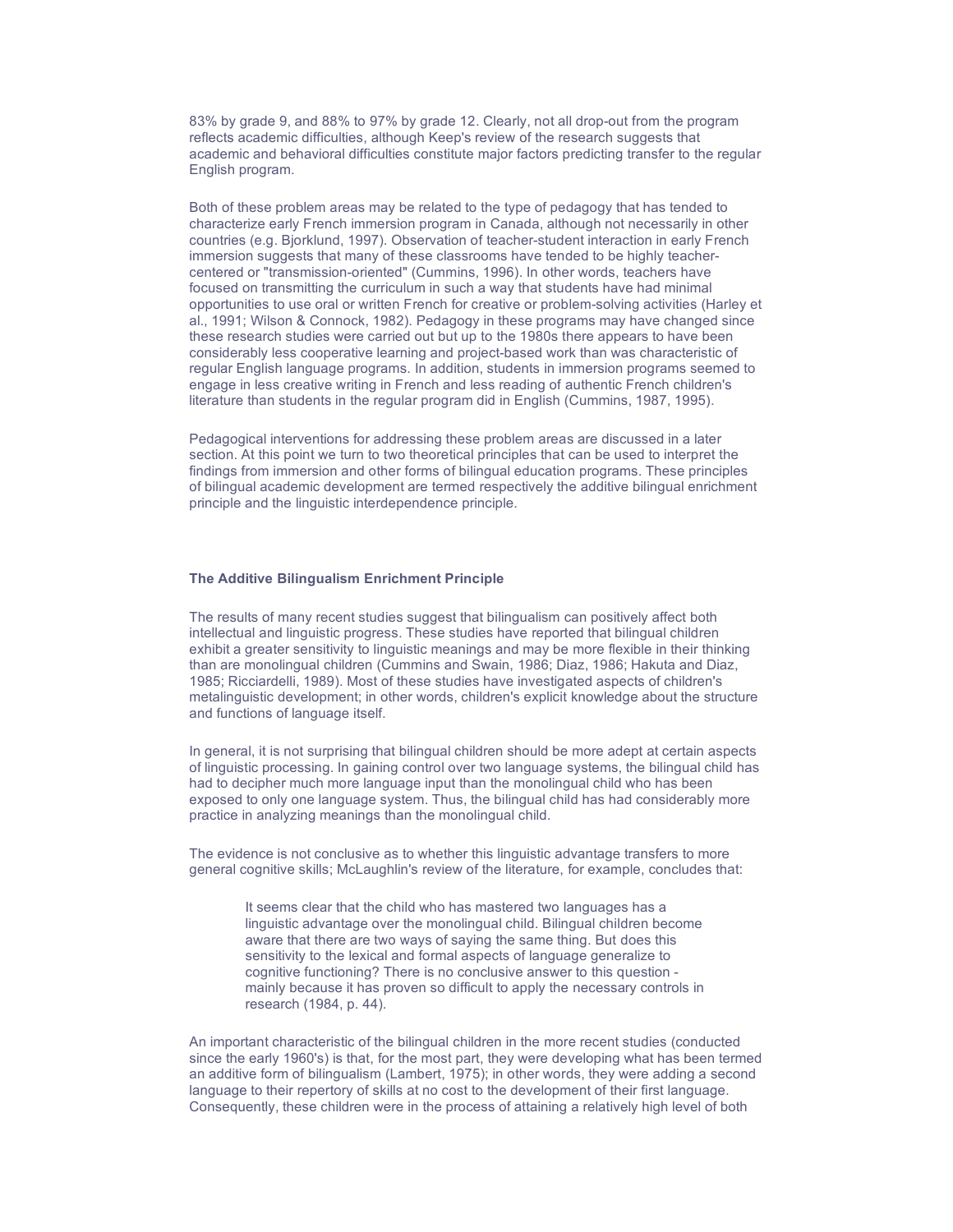83% by grade 9, and 88% to 97% by grade 12. Clearly, not all drop-out from the program reflects academic difficulties, although Keep's review of the research suggests that academic and behavioral difficulties constitute major factors predicting transfer to the regular English program.

Both of these problem areas may be related to the type of pedagogy that has tended to characterize early French immersion program in Canada, although not necessarily in other countries (e.g. Bjorklund, 1997). Observation of teacher-student interaction in early French immersion suggests that many of these classrooms have tended to be highly teachercentered or "transmission-oriented" (Cummins, 1996). In other words, teachers have focused on transmitting the curriculum in such a way that students have had minimal opportunities to use oral or written French for creative or problem-solving activities (Harley et al., 1991; Wilson & Connock, 1982). Pedagogy in these programs may have changed since these research studies were carried out but up to the 1980s there appears to have been considerably less cooperative learning and project-based work than was characteristic of regular English language programs. In addition, students in immersion programs seemed to engage in less creative writing in French and less reading of authentic French children's literature than students in the regular program did in English (Cummins, 1987, 1995).

Pedagogical interventions for addressing these problem areas are discussed in a later section. At this point we turn to two theoretical principles that can be used to interpret the findings from immersion and other forms of bilingual education programs. These principles of bilingual academic development are termed respectively the additive bilingual enrichment principle and the linguistic interdependence principle.

#### **The Additive Bilingualism Enrichment Principle**

The results of many recent studies suggest that bilingualism can positively affect both intellectual and linguistic progress. These studies have reported that bilingual children exhibit a greater sensitivity to linguistic meanings and may be more flexible in their thinking than are monolingual children (Cummins and Swain, 1986; Diaz, 1986; Hakuta and Diaz, 1985; Ricciardelli, 1989). Most of these studies have investigated aspects of children's metalinguistic development; in other words, children's explicit knowledge about the structure and functions of language itself.

In general, it is not surprising that bilingual children should be more adept at certain aspects of linguistic processing. In gaining control over two language systems, the bilingual child has had to decipher much more language input than the monolingual child who has been exposed to only one language system. Thus, the bilingual child has had considerably more practice in analyzing meanings than the monolingual child.

The evidence is not conclusive as to whether this linguistic advantage transfers to more general cognitive skills; McLaughlin's review of the literature, for example, concludes that:

> It seems clear that the child who has mastered two languages has a linguistic advantage over the monolingual child. Bilingual children become aware that there are two ways of saying the same thing. But does this sensitivity to the lexical and formal aspects of language generalize to cognitive functioning? There is no conclusive answer to this question mainly because it has proven so difficult to apply the necessary controls in research (1984, p. 44).

An important characteristic of the bilingual children in the more recent studies (conducted since the early 1960's) is that, for the most part, they were developing what has been termed an additive form of bilingualism (Lambert, 1975); in other words, they were adding a second language to their repertory of skills at no cost to the development of their first language. Consequently, these children were in the process of attaining a relatively high level of both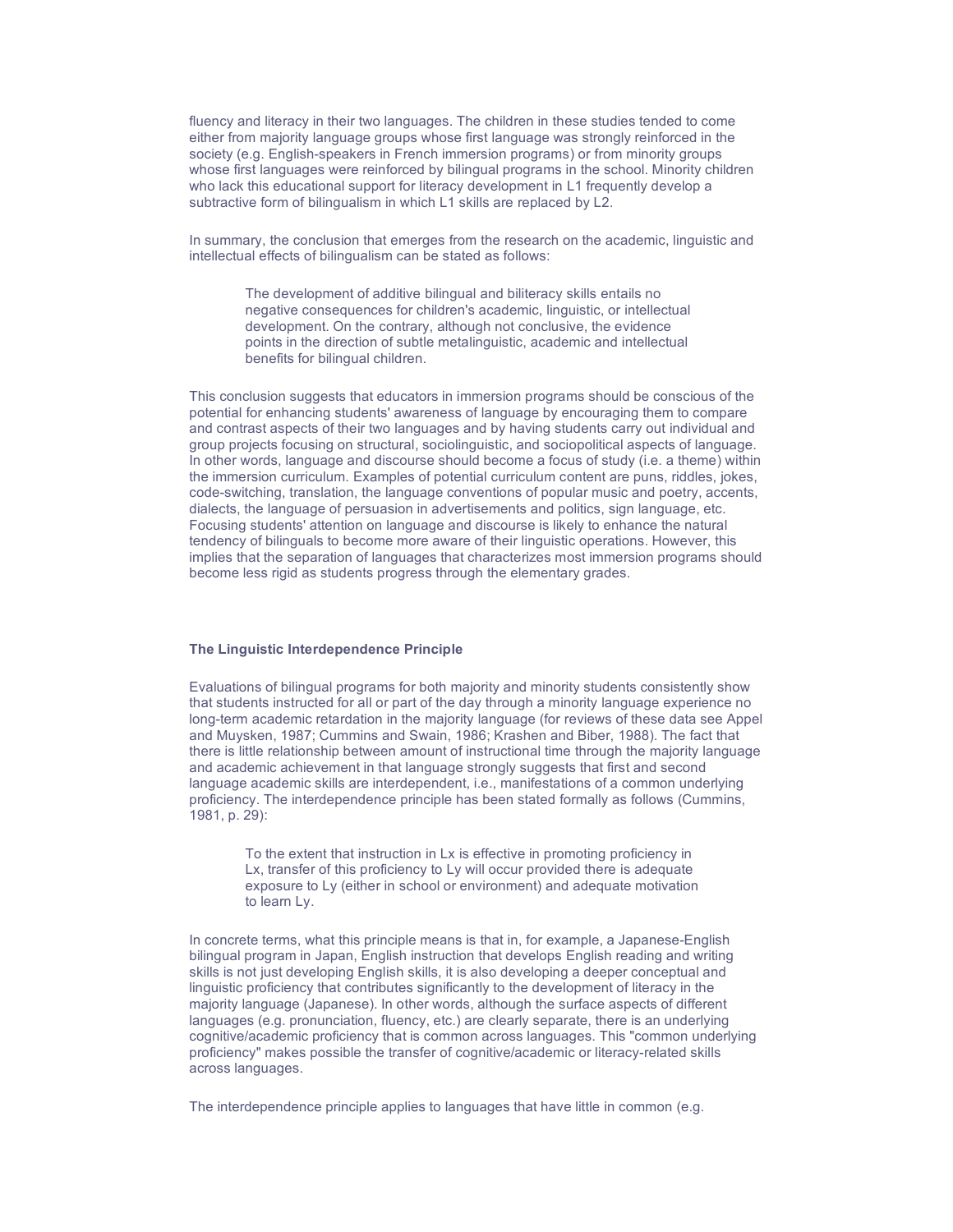fluency and literacy in their two languages. The children in these studies tended to come either from majority language groups whose first language was strongly reinforced in the society (e.g. English-speakers in French immersion programs) or from minority groups whose first languages were reinforced by bilingual programs in the school. Minority children who lack this educational support for literacy development in L1 frequently develop a subtractive form of bilingualism in which L1 skills are replaced by L2.

In summary, the conclusion that emerges from the research on the academic, linguistic and intellectual effects of bilingualism can be stated as follows:

The development of additive bilingual and biliteracy skills entails no negative consequences for children's academic, linguistic, or intellectual development. On the contrary, although not conclusive, the evidence points in the direction of subtle metalinguistic, academic and intellectual benefits for bilingual children.

This conclusion suggests that educators in immersion programs should be conscious of the potential for enhancing students' awareness of language by encouraging them to compare and contrast aspects of their two languages and by having students carry out individual and group projects focusing on structural, sociolinguistic, and sociopolitical aspects of language. In other words, language and discourse should become a focus of study (i.e. a theme) within the immersion curriculum. Examples of potential curriculum content are puns, riddles, jokes, code-switching, translation, the language conventions of popular music and poetry, accents, dialects, the language of persuasion in advertisements and politics, sign language, etc. Focusing students' attention on language and discourse is likely to enhance the natural tendency of bilinguals to become more aware of their linguistic operations. However, this implies that the separation of languages that characterizes most immersion programs should become less rigid as students progress through the elementary grades.

## **The Linguistic Interdependence Principle**

Evaluations of bilingual programs for both majority and minority students consistently show that students instructed for all or part of the day through a minority language experience no long-term academic retardation in the majority language (for reviews of these data see Appel and Muysken, 1987; Cummins and Swain, 1986; Krashen and Biber, 1988). The fact that there is little relationship between amount of instructional time through the majority language and academic achievement in that language strongly suggests that first and second language academic skills are interdependent, i.e., manifestations of a common underlying proficiency. The interdependence principle has been stated formally as follows (Cummins, 1981, p. 29):

To the extent that instruction in Lx is effective in promoting proficiency in Lx, transfer of this proficiency to Ly will occur provided there is adequate exposure to Ly (either in school or environment) and adequate motivation to learn Ly.

In concrete terms, what this principle means is that in, for example, a Japanese-English bilingual program in Japan, English instruction that develops English reading and writing skills is not just developing English skills, it is also developing a deeper conceptual and linguistic proficiency that contributes significantly to the development of literacy in the majority language (Japanese). In other words, although the surface aspects of different languages (e.g. pronunciation, fluency, etc.) are clearly separate, there is an underlying cognitive/academic proficiency that is common across languages. This "common underlying proficiency" makes possible the transfer of cognitive/academic or literacy-related skills across languages.

The interdependence principle applies to languages that have little in common (e.g.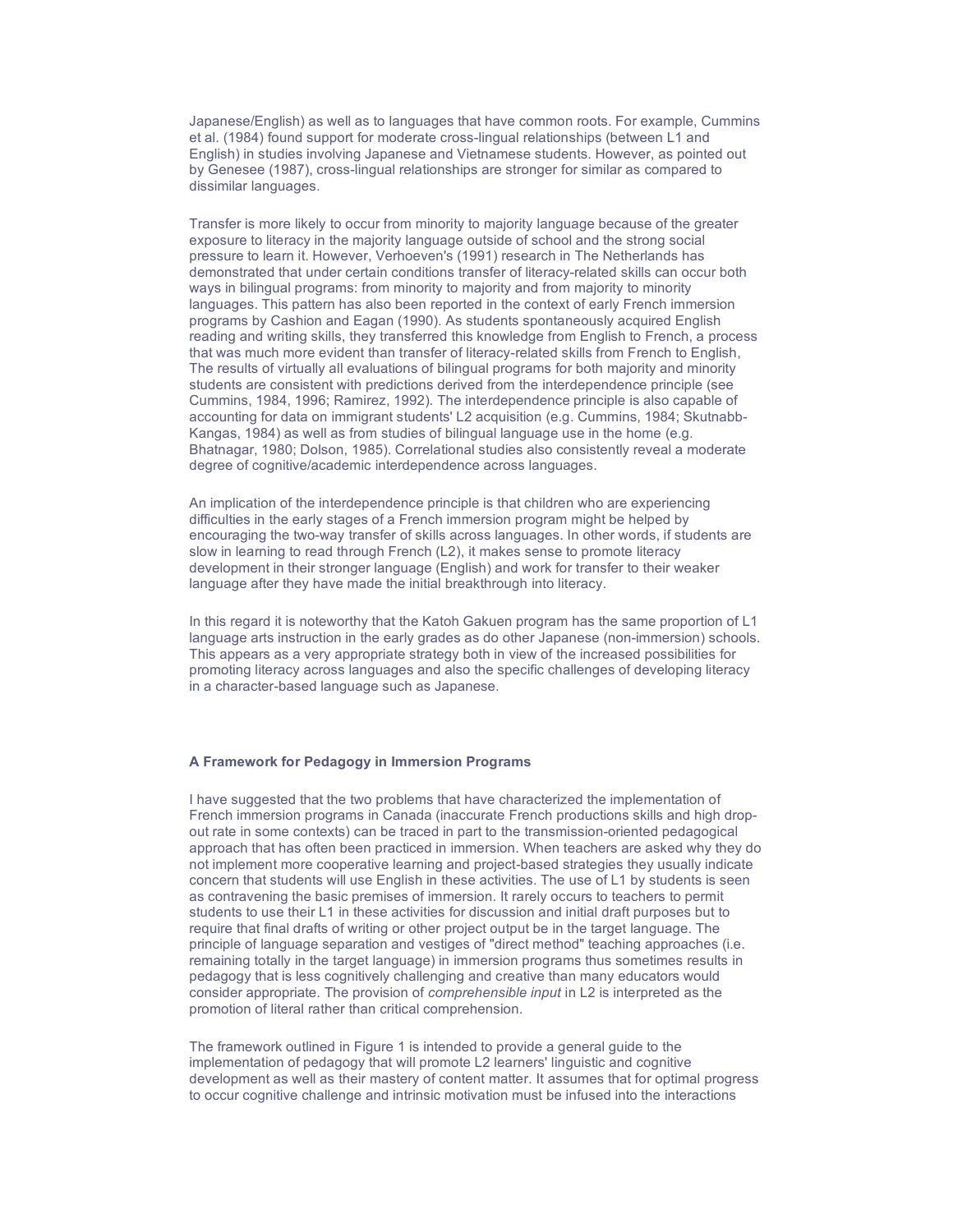Japanese/English) as well as to languages that have common roots. For example, Cummins et al. (1984) found support for moderate cross-lingual relationships (between L1 and English) in studies involving Japanese and Vietnamese students. However, as pointed out by Genesee (1987), cross-lingual relationships are stronger for similar as compared to dissimilar languages.

Transfer is more likely to occur from minority to majority language because of the greater exposure to literacy in the majority language outside of school and the strong social pressure to learn it. However, Verhoeven's (1991) research in The Netherlands has demonstrated that under certain conditions transfer of literacy-related skills can occur both ways in bilingual programs: from minority to majority and from majority to minority languages. This pattern has also been reported in the context of early French immersion programs by Cashion and Eagan (1990). As students spontaneously acquired English reading and writing skills, they transferred this knowledge from English to French, a process that was much more evident than transfer of literacy-related skills from French to English, The results of virtually all evaluations of bilingual programs for both majority and minority students are consistent with predictions derived from the interdependence principle (see Cummins, 1984, 1996; Ramirez, 1992). The interdependence principle is also capable of accounting for data on immigrant students' L2 acquisition (e.g. Cummins, 1984; Skutnabb-Kangas, 1984) as well as from studies of bilingual language use in the home (e.g. Bhatnagar, 1980; Dolson, 1985). Correlational studies also consistently reveal a moderate degree of cognitive/academic interdependence across languages.

An implication of the interdependence principle is that children who are experiencing difficulties in the early stages of a French immersion program might be helped by encouraging the two-way transfer of skills across languages. In other words, if students are slow in learning to read through French (L2), it makes sense to promote literacy development in their stronger language (English) and work for transfer to their weaker language after they have made the initial breakthrough into literacy.

In this regard it is noteworthy that the Katoh Gakuen program has the same proportion of L1 language arts instruction in the early grades as do other Japanese (non-immersion) schools. This appears as a very appropriate strategy both in view of the increased possibilities for promoting literacy across languages and also the specific challenges of developing literacy in a character-based language such as Japanese.

## **A Framework for Pedagogy in Immersion Programs**

I have suggested that the two problems that have characterized the implementation of French immersion programs in Canada (inaccurate French productions skills and high dropout rate in some contexts) can be traced in part to the transmission-oriented pedagogical approach that has often been practiced in immersion. When teachers are asked why they do not implement more cooperative learning and project-based strategies they usually indicate concern that students will use English in these activities. The use of L1 by students is seen as contravening the basic premises of immersion. It rarely occurs to teachers to permit students to use their L1 in these activities for discussion and initial draft purposes but to require that final drafts of writing or other project output be in the target language. The principle of language separation and vestiges of "direct method" teaching approaches (i.e. remaining totally in the target language) in immersion programs thus sometimes results in pedagogy that is less cognitively challenging and creative than many educators would consider appropriate. The provision of *comprehensible input* in L2 is interpreted as the promotion of literal rather than critical comprehension.

The framework outlined in Figure 1 is intended to provide a general guide to the implementation of pedagogy that will promote L2 learners' linguistic and cognitive development as well as their mastery of content matter. It assumes that for optimal progress to occur cognitive challenge and intrinsic motivation must be infused into the interactions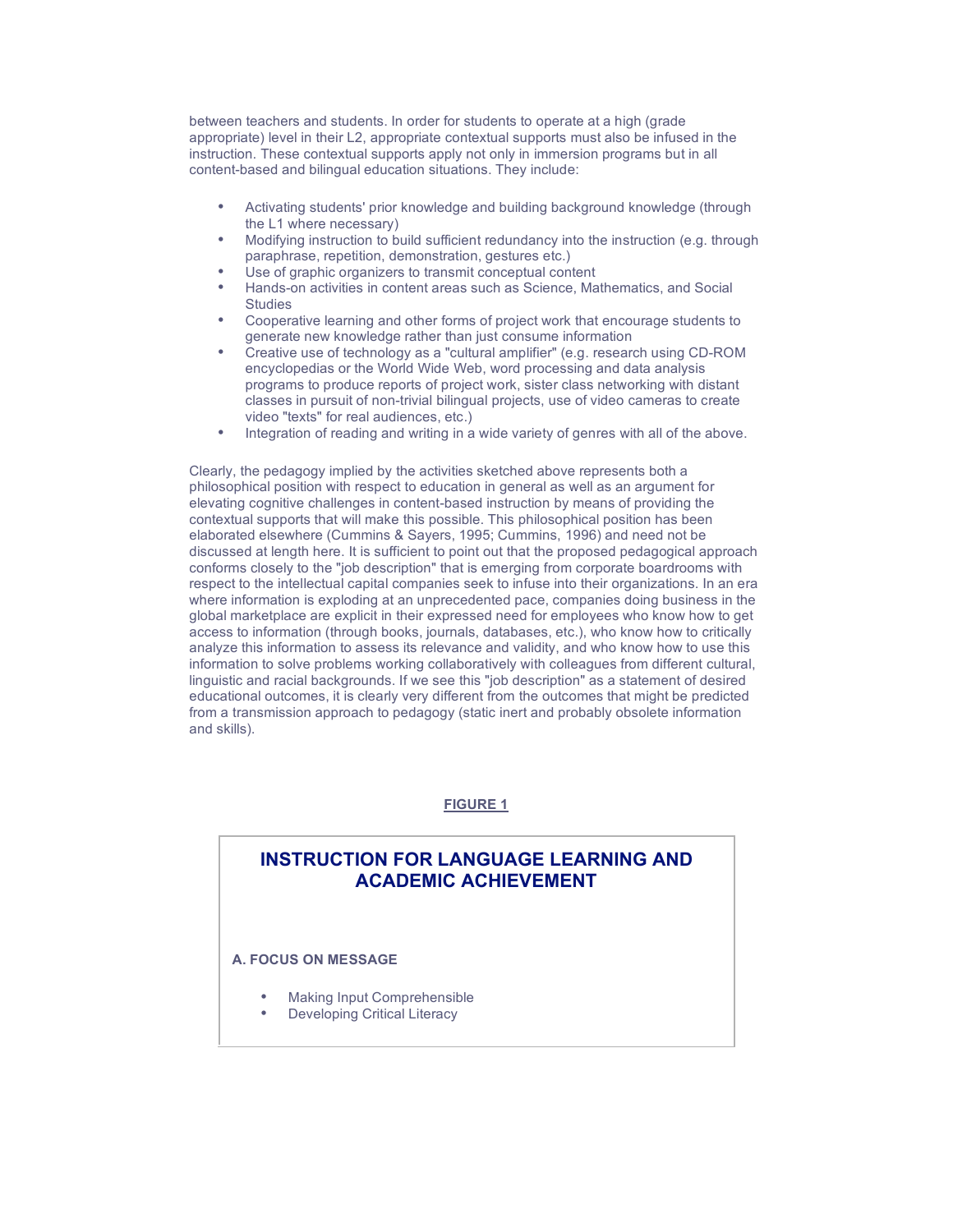between teachers and students. In order for students to operate at a high (grade appropriate) level in their L2, appropriate contextual supports must also be infused in the instruction. These contextual supports apply not only in immersion programs but in all content-based and bilingual education situations. They include:

- Activating students' prior knowledge and building background knowledge (through the L1 where necessary)
- Modifying instruction to build sufficient redundancy into the instruction (e.g. through paraphrase, repetition, demonstration, gestures etc.)
- Use of graphic organizers to transmit conceptual content
- Hands-on activities in content areas such as Science, Mathematics, and Social **Studies**
- Cooperative learning and other forms of project work that encourage students to generate new knowledge rather than just consume information
- Creative use of technology as a "cultural amplifier" (e.g. research using CD-ROM encyclopedias or the World Wide Web, word processing and data analysis programs to produce reports of project work, sister class networking with distant classes in pursuit of non-trivial bilingual projects, use of video cameras to create video "texts" for real audiences, etc.)
- Integration of reading and writing in a wide variety of genres with all of the above.

Clearly, the pedagogy implied by the activities sketched above represents both a philosophical position with respect to education in general as well as an argument for elevating cognitive challenges in content-based instruction by means of providing the contextual supports that will make this possible. This philosophical position has been elaborated elsewhere (Cummins & Sayers, 1995; Cummins, 1996) and need not be discussed at length here. It is sufficient to point out that the proposed pedagogical approach conforms closely to the "job description" that is emerging from corporate boardrooms with respect to the intellectual capital companies seek to infuse into their organizations. In an era where information is exploding at an unprecedented pace, companies doing business in the global marketplace are explicit in their expressed need for employees who know how to get access to information (through books, journals, databases, etc.), who know how to critically analyze this information to assess its relevance and validity, and who know how to use this information to solve problems working collaboratively with colleagues from different cultural, linguistic and racial backgrounds. If we see this "job description" as a statement of desired educational outcomes, it is clearly very different from the outcomes that might be predicted from a transmission approach to pedagogy (static inert and probably obsolete information and skills).

## **FIGURE 1**

## **INSTRUCTION FOR LANGUAGE LEARNING AND ACADEMIC ACHIEVEMENT**

## **A. FOCUS ON MESSAGE**

**B. FOCUS ON LANGUAGE**

- Making Input Comprehensible
- **Developing Critical Literacy**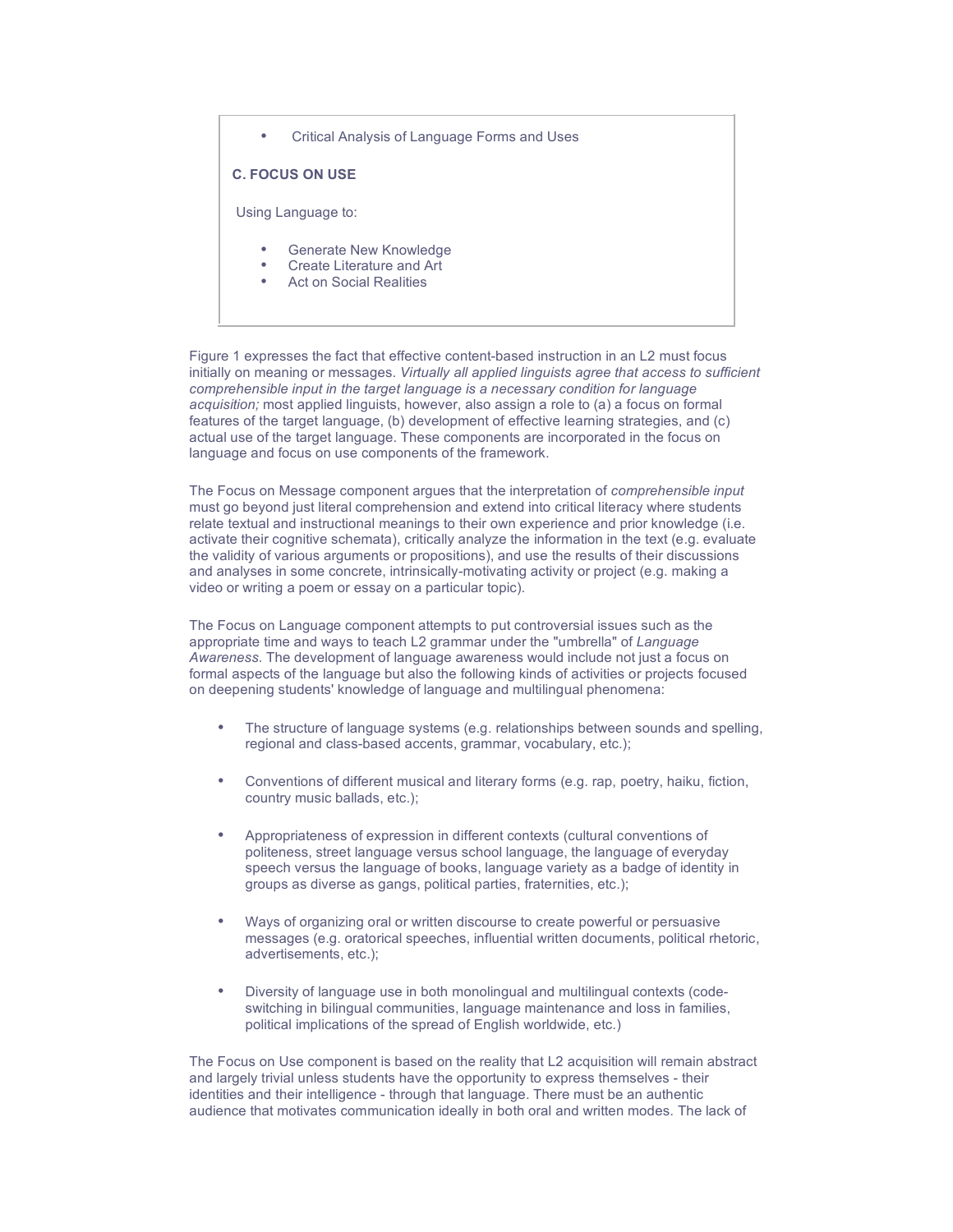• Critical Analysis of Language Forms and Uses

**C. FOCUS ON USE**

Using Language to:

- Generate New Knowledge
- Create Literature and Art
- Act on Social Realities

Figure 1 expresses the fact that effective content-based instruction in an L2 must focus initially on meaning or messages. *Virtually all applied linguists agree that access to sufficient comprehensible input in the target language is a necessary condition for language acquisition;* most applied linguists, however, also assign a role to (a) a focus on formal features of the target language, (b) development of effective learning strategies, and (c) actual use of the target language. These components are incorporated in the focus on language and focus on use components of the framework.

The Focus on Message component argues that the interpretation of *comprehensible input* must go beyond just literal comprehension and extend into critical literacy where students relate textual and instructional meanings to their own experience and prior knowledge (i.e. activate their cognitive schemata), critically analyze the information in the text (e.g. evaluate the validity of various arguments or propositions), and use the results of their discussions and analyses in some concrete, intrinsically-motivating activity or project (e.g. making a video or writing a poem or essay on a particular topic).

The Focus on Language component attempts to put controversial issues such as the appropriate time and ways to teach L2 grammar under the "umbrella" of *Language Awareness.* The development of language awareness would include not just a focus on formal aspects of the language but also the following kinds of activities or projects focused on deepening students' knowledge of language and multilingual phenomena:

- The structure of language systems (e.g. relationships between sounds and spelling, regional and class-based accents, grammar, vocabulary, etc.);
- Conventions of different musical and literary forms (e.g. rap, poetry, haiku, fiction, country music ballads, etc.);
- Appropriateness of expression in different contexts (cultural conventions of politeness, street language versus school language, the language of everyday speech versus the language of books, language variety as a badge of identity in groups as diverse as gangs, political parties, fraternities, etc.);
- Ways of organizing oral or written discourse to create powerful or persuasive messages (e.g. oratorical speeches, influential written documents, political rhetoric, advertisements, etc.);
- Diversity of language use in both monolingual and multilingual contexts (codeswitching in bilingual communities, language maintenance and loss in families, political implications of the spread of English worldwide, etc.)

The Focus on Use component is based on the reality that L2 acquisition will remain abstract and largely trivial unless students have the opportunity to express themselves - their identities and their intelligence - through that language. There must be an authentic audience that motivates communication ideally in both oral and written modes. The lack of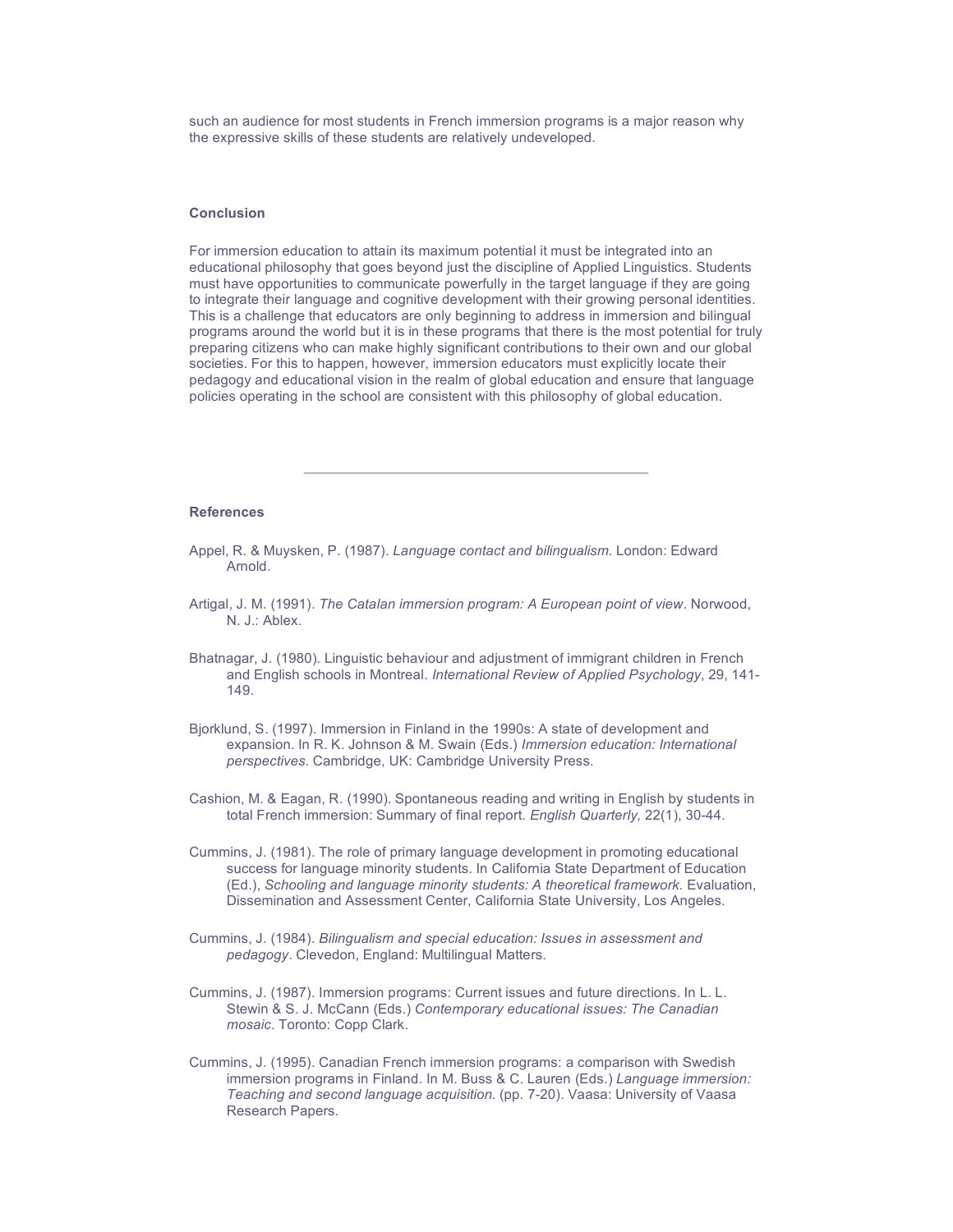such an audience for most students in French immersion programs is a major reason why the expressive skills of these students are relatively undeveloped.

#### **Conclusion**

For immersion education to attain its maximum potential it must be integrated into an educational philosophy that goes beyond just the discipline of Applied Linguistics. Students must have opportunities to communicate powerfully in the target language if they are going to integrate their language and cognitive development with their growing personal identities. This is a challenge that educators are only beginning to address in immersion and bilingual programs around the world but it is in these programs that there is the most potential for truly preparing citizens who can make highly significant contributions to their own and our global societies. For this to happen, however, immersion educators must explicitly locate their pedagogy and educational vision in the realm of global education and ensure that language policies operating in the school are consistent with this philosophy of global education.

#### **References**

- Appel, R. & Muysken, P. (1987). *Language contact and bilingualism.* London: Edward Arnold.
- Artigal, J. M. (1991). *The Catalan immersion program: A European point of view*. Norwood, N. J.: Ablex.
- Bhatnagar, J. (1980). Linguistic behaviour and adjustment of immigrant children in French and English schools in Montreal. *International Review of Applied Psychology*, 29, 141- 149.
- Bjorklund, S. (1997). Immersion in Finland in the 1990s: A state of development and expansion. In R. K. Johnson & M. Swain (Eds.) *Immersion education: International perspectives.* Cambridge, UK: Cambridge University Press.
- Cashion, M. & Eagan, R. (1990). Spontaneous reading and writing in English by students in total French immersion: Summary of final report. *English Quarterly,* 22(1), 30-44.
- Cummins, J. (1981). The role of primary language development in promoting educational success for language minority students. In California State Department of Education (Ed.), *Schooling and language minority students: A theoretical framework.* Evaluation, Dissemination and Assessment Center, California State University, Los Angeles.
- Cummins, J. (1984). *Bilingualism and special education: Issues in assessment and pedagogy*. Clevedon, England: Multilingual Matters.
- Cummins, J. (1987). Immersion programs: Current issues and future directions. In L. L. Stewin & S. J. McCann (Eds.) *Contemporary educational issues: The Canadian mosaic*. Toronto: Copp Clark.
- Cummins, J. (1995). Canadian French immersion programs: a comparison with Swedish immersion programs in Finland. In M. Buss & C. Lauren (Eds.) *Language immersion: Teaching and second language acquisition.* (pp. 7-20). Vaasa: University of Vaasa Research Papers.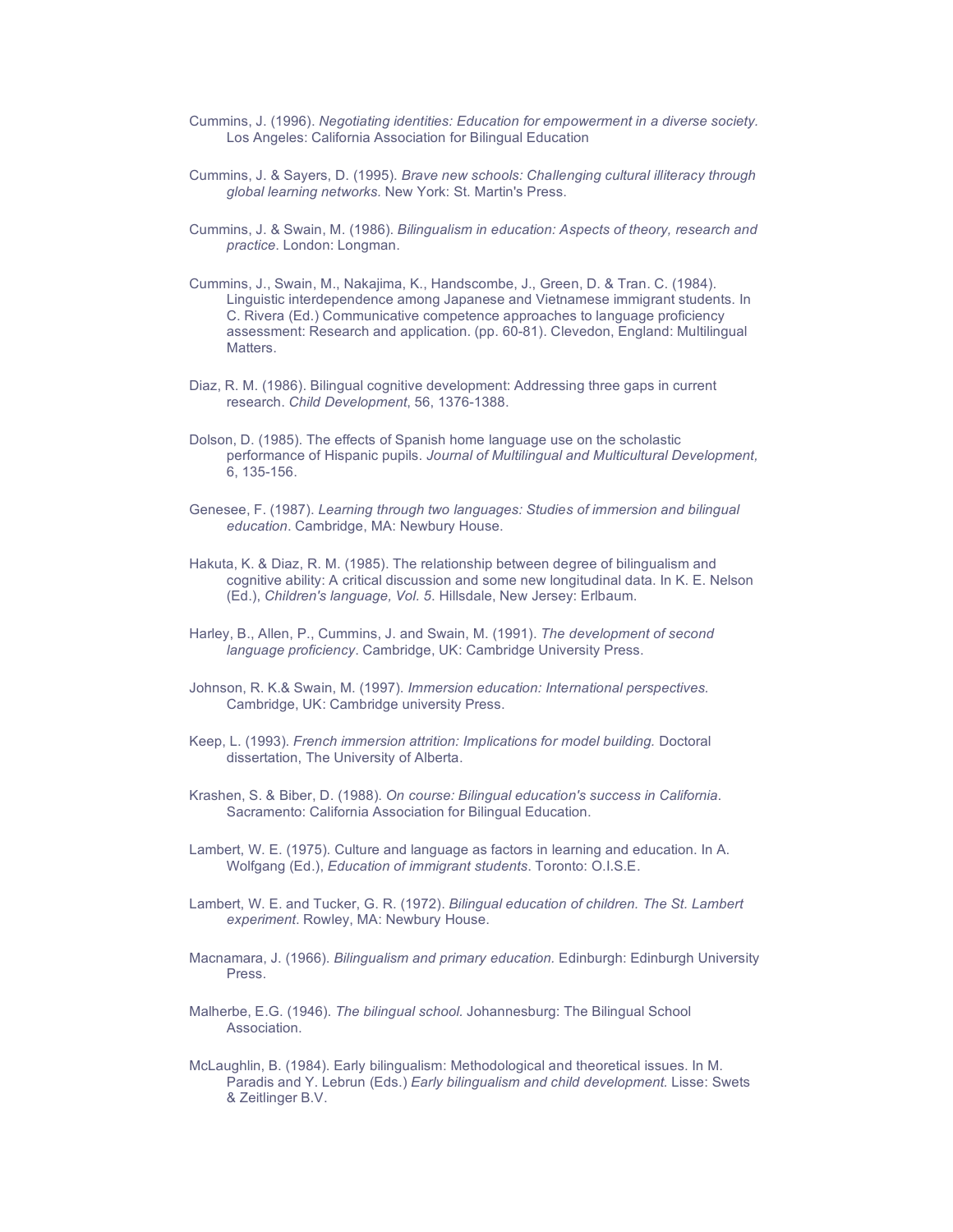- Cummins, J. (1996). *Negotiating identities: Education for empowerment in a diverse society.* Los Angeles: California Association for Bilingual Education
- Cummins, J. & Sayers, D. (1995). *Brave new schools: Challenging cultural illiteracy through global learning networks.* New York: St. Martin's Press.
- Cummins, J. & Swain, M. (1986). *Bilingualism in education: Aspects of theory, research and practice*. London: Longman.
- Cummins, J., Swain, M., Nakajima, K., Handscombe, J., Green, D. & Tran. C. (1984). Linguistic interdependence among Japanese and Vietnamese immigrant students. In C. Rivera (Ed.) Communicative competence approaches to language proficiency assessment: Research and application. (pp. 60-81). Clevedon, England: Multilingual **Matters**
- Diaz, R. M. (1986). Bilingual cognitive development: Addressing three gaps in current research. *Child Development*, 56, 1376-1388.
- Dolson, D. (1985). The effects of Spanish home language use on the scholastic performance of Hispanic pupils. *Journal of Multilingual and Multicultural Development,* 6, 135-156.
- Genesee, F. (1987). *Learning through two languages: Studies of immersion and bilingual education*. Cambridge, MA: Newbury House.
- Hakuta, K. & Diaz, R. M. (1985). The relationship between degree of bilingualism and cognitive ability: A critical discussion and some new longitudinal data. In K. E. Nelson (Ed.), *Children's language, Vol. 5*. Hillsdale, New Jersey: Erlbaum.
- Harley, B., Allen, P., Cummins, J. and Swain, M. (1991). *The development of second language proficiency*. Cambridge, UK: Cambridge University Press.
- Johnson, R. K.& Swain, M. (1997). *Immersion education: International perspectives.* Cambridge, UK: Cambridge university Press.
- Keep, L. (1993). *French immersion attrition: Implications for model building.* Doctoral dissertation, The University of Alberta.
- Krashen, S. & Biber, D. (1988). *On course: Bilingual education's success in California*. Sacramento: California Association for Bilingual Education.
- Lambert, W. E. (1975). Culture and language as factors in learning and education. In A. Wolfgang (Ed.), *Education of immigrant students*. Toronto: O.I.S.E.
- Lambert, W. E. and Tucker, G. R. (1972). *Bilingual education of children. The St. Lambert experiment*. Rowley, MA: Newbury House.
- Macnamara, J. (1966). *Bilingualism and primary education.* Edinburgh: Edinburgh University Press.
- Malherbe, E.G. (1946). *The bilingual school.* Johannesburg: The Bilingual School Association.
- McLaughlin, B. (1984). Early bilingualism: Methodological and theoretical issues. In M. Paradis and Y. Lebrun (Eds.) *Early bilingualism and child development.* Lisse: Swets & Zeitlinger B.V.